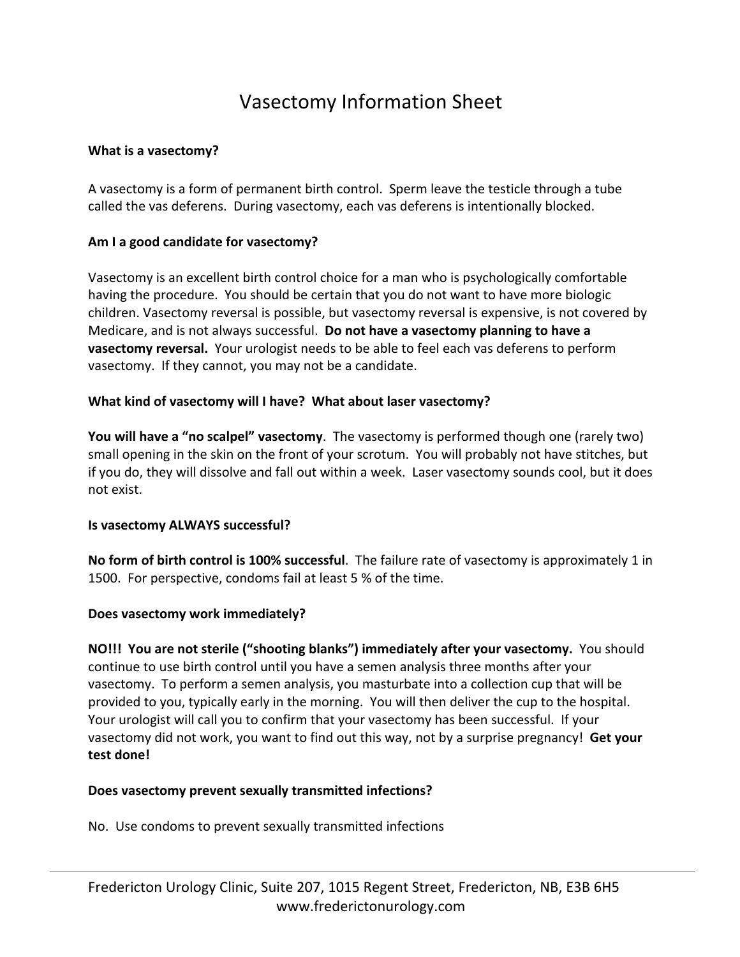# Vasectomy Information Sheet

## **What is a vasectomy?**

A vasectomy is a form of permanent birth control. Sperm leave the testicle through a tube called the vas deferens. During vasectomy, each vas deferens is intentionally blocked.

## **Am I a good candidate for vasectomy?**

Vasectomy is an excellent birth control choice for a man who is psychologically comfortable having the procedure. You should be certain that you do not want to have more biologic children. Vasectomy reversal is possible, but vasectomy reversal is expensive, is not covered by Medicare, and is not always successful. **Do not have a vasectomy planning to have a vasectomy reversal.** Your urologist needs to be able to feel each vas deferens to perform vasectomy. If they cannot, you may not be a candidate.

## **What kind of vasectomy will I have? What about laser vasectomy?**

**You will have a "no scalpel" vasectomy**. The vasectomy is performed though one (rarely two) small opening in the skin on the front of your scrotum. You will probably not have stitches, but if you do, they will dissolve and fall out within a week. Laser vasectomy sounds cool, but it does not exist.

#### **Is vasectomy ALWAYS successful?**

**No form of birth control is 100% successful**. The failure rate of vasectomy is approximately 1 in 1500. For perspective, condoms fail at least 5 % of the time.

#### **Does vasectomy work immediately?**

**NO!!! You are not sterile ("shooting blanks") immediately after your vasectomy.** You should continue to use birth control until you have a semen analysis three months after your vasectomy. To perform a semen analysis, you masturbate into a collection cup that will be provided to you, typically early in the morning. You will then deliver the cup to the hospital. Your urologist will call you to confirm that your vasectomy has been successful. If your vasectomy did not work, you want to find out this way, not by a surprise pregnancy! **Get your test done!**

#### **Does vasectomy prevent sexually transmitted infections?**

No. Use condoms to prevent sexually transmitted infections